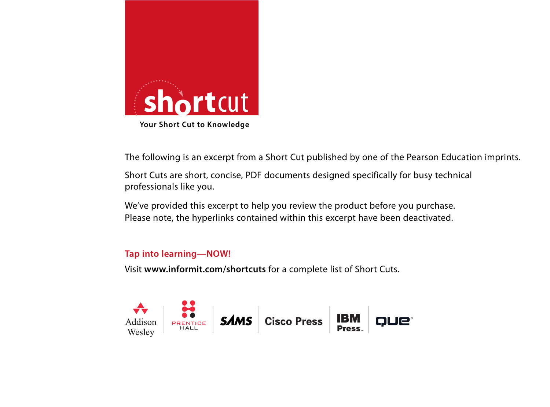

The following is an excerpt from a Short Cut published by one of the Pearson Education imprints.

Short Cuts are short, concise, PDF documents designed specifically for busy technical professionals like you.

We've provided this excerpt to help you review the product before you purchase. Please note, the hyperlinks contained within this excerpt have been deactivated.

### **Tap into learning—NOW!**

Visit **www.informit.com/shortcuts** for a complete list of Short Cuts.

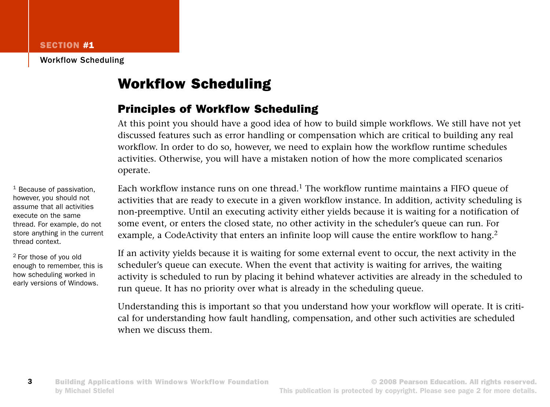Workflow Scheduling

# Workflow Scheduling

### Principles of Workflow Scheduling

At this point you should have a good idea of how to build simple workflows. We still have not yet discussed features such as error handling or compensation which are critical to building any real workflow. In order to do so, however, we need to explain how the workflow runtime schedules activities. Otherwise, you will have a mistaken notion of how the more complicated scenarios operate.

Each workflow instance runs on one thread.<sup>1</sup> The workflow runtime maintains a FIFO queue of activities that are ready to execute in a given workflow instance. In addition, activity scheduling is non-preemptive. Until an executing activity either yields because it is waiting for a notification of some event, or enters the closed state, no other activity in the scheduler's queue can run. For example, a CodeActivity that enters an infinite loop will cause the entire workflow to hang.<sup>2</sup>

If an activity yields because it is waiting for some external event to occur, the next activity in the scheduler's queue can execute. When the event that activity is waiting for arrives, the waiting activity is scheduled to run by placing it behind whatever activities are already in the scheduled to run queue. It has no priority over what is already in the scheduling queue.

Understanding this is important so that you understand how your workflow will operate. It is critical for understanding how fault handling, compensation, and other such activities are scheduled when we discuss them.

<sup>1</sup> Because of passivation, however, you should not assume that all activities execute on the same thread. For example, do not store anything in the current thread context.

2 For those of you old enough to remember, this is how scheduling worked in early versions of Windows.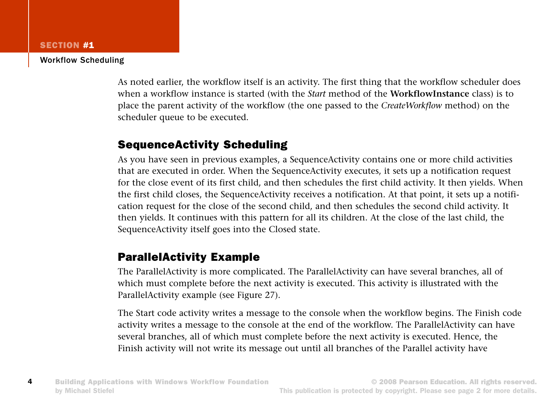#### Workflow Scheduling

As noted earlier, the workflow itself is an activity. The first thing that the workflow scheduler does when a workflow instance is started (with the *Start* method of the **WorkflowInstance** class) is to place the parent activity of the workflow (the one passed to the *CreateWorkflow* method) on the scheduler queue to be executed.

### SequenceActivity Scheduling

As you have seen in previous examples, a SequenceActivity contains one or more child activities that are executed in order. When the SequenceActivity executes, it sets up a notification request for the close event of its first child, and then schedules the first child activity. It then yields. When the first child closes, the SequenceActivity receives a notification. At that point, it sets up a notification request for the close of the second child, and then schedules the second child activity. It then yields. It continues with this pattern for all its children. At the close of the last child, the SequenceActivity itself goes into the Closed state.

### ParallelActivity Example

The ParallelActivity is more complicated. The ParallelActivity can have several branches, all of which must complete before the next activity is executed. This activity is illustrated with the ParallelActivity example (see Figure 27).

The Start code activity writes a message to the console when the workflow begins. The Finish code activity writes a message to the console at the end of the workflow. The ParallelActivity can have several branches, all of which must complete before the next activity is executed. Hence, the Finish activity will not write its message out until all branches of the Parallel activity have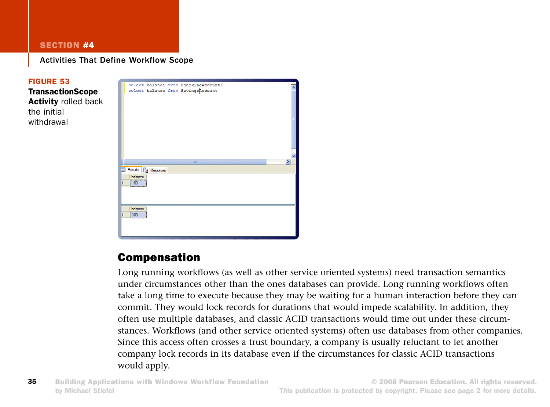Activities That Define Workflow Scope



## Compensation

Long running workflows (as well as other service oriented systems) need transaction semantics under circumstances other than the ones databases can provide. Long running workflows often take a long time to execute because they may be waiting for a human interaction before they can commit. They would lock records for durations that would impede scalability. In addition, they often use multiple databases, and classic ACID transactions would time out under these circumstances. Workflows (and other service oriented systems) often use databases from other companies. Since this access often crosses a trust boundary, a company is usually reluctant to let another company lock records in its database even if the circumstances for classic ACID transactions would apply.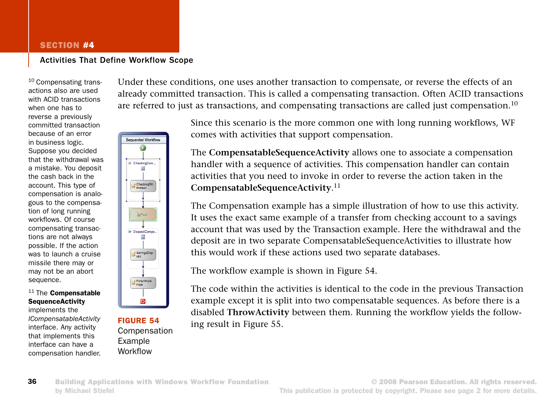#### Activities That Define Workflow Scope

10 Compensating transactions also are used with ACID transactions when one has to reverse a previously committed transaction because of an error in business logic. Suppose you decided that the withdrawal was a mistake. You deposit the cash back in the account. This type of compensation is analogous to the compensation of long running workflows. Of course compensating transactions are not always possible. If the action was to launch a cruise missile there may or may not be an abort sequence.



implements the *ICompensatableActivity* interface. Any activity that implements this interface can have a compensation handler.



FIGURE 54 Compensation Example Workflow

Under these conditions, one uses another transaction to compensate, or reverse the effects of an already committed transaction. This is called a compensating transaction. Often ACID transactions are referred to just as transactions, and compensating transactions are called just compensation.<sup>10</sup>

> Since this scenario is the more common one with long running workflows, WF comes with activities that support compensation.

> The **CompensatableSequenceActivity** allows one to associate a compensation handler with a sequence of activities. This compensation handler can contain activities that you need to invoke in order to reverse the action taken in the **CompensatableSequenceActivity**. 11

The Compensation example has a simple illustration of how to use this activity. It uses the exact same example of a transfer from checking account to a savings account that was used by the Transaction example. Here the withdrawal and the deposit are in two separate CompensatableSequenceActivities to illustrate how this would work if these actions used two separate databases.

The workflow example is shown in Figure 54.

The code within the activities is identical to the code in the previous Transaction example except it is split into two compensatable sequences. As before there is a disabled **ThrowActivity** between them. Running the workflow yields the following result in Figure 55.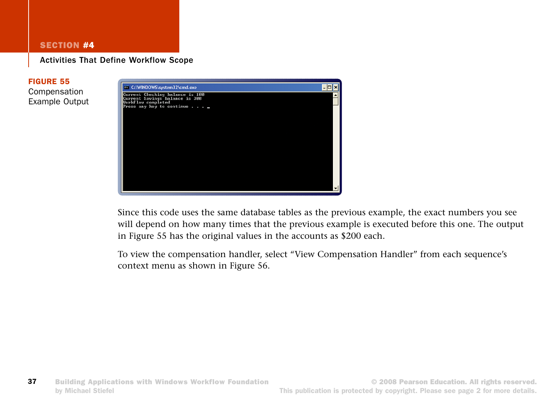Activities That Define Workflow Scope

#### FIGURE 55

Compensation Example Output



Since this code uses the same database tables as the previous example, the exact numbers you see will depend on how many times that the previous example is executed before this one. The output in Figure 55 has the original values in the accounts as \$200 each.

To view the compensation handler, select "View Compensation Handler" from each sequence's context menu as shown in Figure 56.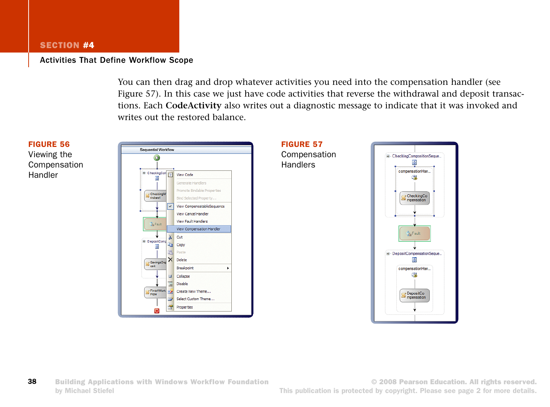#### Activities That Define Workflow Scope

You can then drag and drop whatever activities you need into the compensation handler (see Figure 57). In this case we just have code activities that reverse the withdrawal and deposit transactions. Each **CodeActivity** also writes out a diagnostic message to indicate that it was invoked and writes out the restored balance.

#### FIGURE 56

Viewing the Compensation Handler





**38** Building Applications with Windows Workflow Foundation by Michael Stiefel

© 2008 Pearson Education. All rights reserved. This publication is protected by copyright. Please see page 2 for more details.